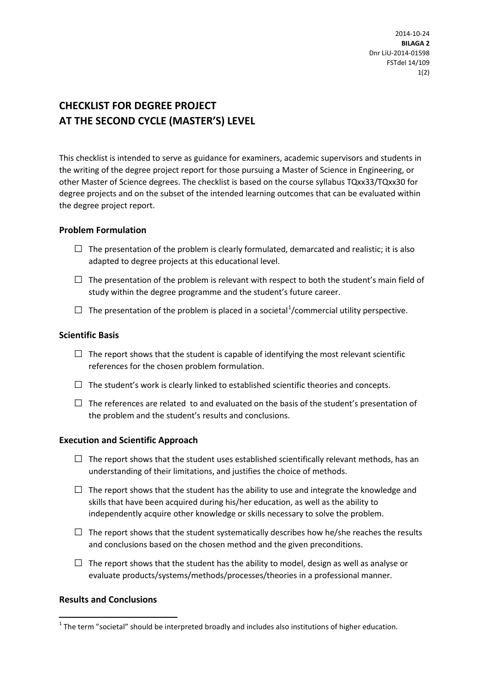2014-10-24 **BILAGA 2** Dnr LiU-2014-01598 FSTdel 14/109 1(2)

# **CHECKLIST FOR DEGREE PROJECT AT THE SECOND CYCLE (MASTER'S) LEVEL**

This checklist is intended to serve as guidance for examiners, academic supervisors and students in the writing of the degree project report for those pursuing a Master of Science in Engineering, or other Master of Science degrees. The checklist is based on the course syllabus TQxx33/TQxx30 for degree projects and on the subset of the intended learning outcomes that can be evaluated within the degree project report.

# **Problem Formulation**

- $\Box$  The presentation of the problem is clearly formulated, demarcated and realistic; it is also adapted to degree projects at this educational level.
- $\Box$  The presentation of the problem is relevant with respect to both the student's main field of study within the degree programme and the student's future career.
- $\Box$  The presentation of the problem is placed in a societal<sup>[1](#page-0-0)</sup>/commercial utility perspective.

## **Scientific Basis**

- $\Box$  The report shows that the student is capable of identifying the most relevant scientific references for the chosen problem formulation.
- $\Box$  The student's work is clearly linked to established scientific theories and concepts.
- $\square$  The references are related to and evaluated on the basis of the student's presentation of the problem and the student's results and conclusions.

#### **Execution and Scientific Approach**

- $\Box$  The report shows that the student uses established scientifically relevant methods, has an understanding of their limitations, and justifies the choice of methods.
- $\Box$  The report shows that the student has the ability to use and integrate the knowledge and skills that have been acquired during his/her education, as well as the ability to independently acquire other knowledge or skills necessary to solve the problem.
- $\Box$  The report shows that the student systematically describes how he/she reaches the results and conclusions based on the chosen method and the given preconditions.
- $\square$  The report shows that the student has the ability to model, design as well as analyse or evaluate products/systems/methods/processes/theories in a professional manner.

# **Results and Conclusions**

 $\overline{a}$ 

<span id="page-0-0"></span> $1$  The term "societal" should be interpreted broadly and includes also institutions of higher education.